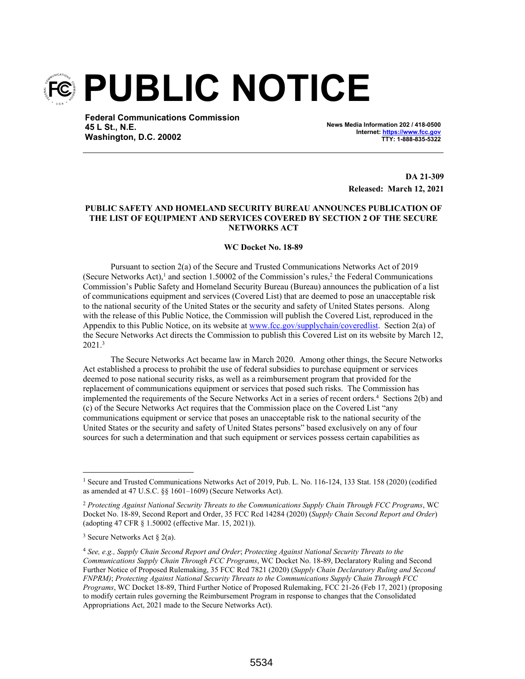

**Federal Communications Commission 45 L St., N.E. Washington, D.C. 20002**

**News Media Information 202 / 418-0500 Internet: https://www.fcc.gov TTY: 1-888-835-5322**

> **DA 21-309 Released: March 12, 2021**

## **PUBLIC SAFETY AND HOMELAND SECURITY BUREAU ANNOUNCES PUBLICATION OF THE LIST OF EQUIPMENT AND SERVICES COVERED BY SECTION 2 OF THE SECURE NETWORKS ACT**

## **WC Docket No. 18-89**

Pursuant to section 2(a) of the Secure and Trusted Communications Networks Act of 2019 (Secure Networks Act),<sup>1</sup> and section 1.50002 of the Commission's rules,<sup>2</sup> the Federal Communications Commission's Public Safety and Homeland Security Bureau (Bureau) announces the publication of a list of communications equipment and services (Covered List) that are deemed to pose an unacceptable risk to the national security of the United States or the security and safety of United States persons. Along with the release of this Public Notice, the Commission will publish the Covered List, reproduced in the Appendix to this Public Notice, on its website at www.fcc.gov/supplychain/coveredlist. Section 2(a) of the Secure Networks Act directs the Commission to publish this Covered List on its website by March 12, 2021.<sup>3</sup>

The Secure Networks Act became law in March 2020. Among other things, the Secure Networks Act established a process to prohibit the use of federal subsidies to purchase equipment or services deemed to pose national security risks, as well as a reimbursement program that provided for the replacement of communications equipment or services that posed such risks. The Commission has implemented the requirements of the Secure Networks Act in a series of recent orders.<sup>4</sup> Sections 2(b) and (c) of the Secure Networks Act requires that the Commission place on the Covered List "any communications equipment or service that poses an unacceptable risk to the national security of the United States or the security and safety of United States persons" based exclusively on any of four sources for such a determination and that such equipment or services possess certain capabilities as

<sup>&</sup>lt;sup>1</sup> Secure and Trusted Communications Networks Act of 2019, Pub. L. No. 116-124, 133 Stat. 158 (2020) (codified as amended at 47 U.S.C. §§ 1601–1609) (Secure Networks Act).

<sup>2</sup> *Protecting Against National Security Threats to the Communications Supply Chain Through FCC Programs*, WC Docket No. 18-89, Second Report and Order, 35 FCC Rcd 14284 (2020) (*Supply Chain Second Report and Order*) (adopting 47 CFR § 1.50002 (effective Mar. 15, 2021)).

<sup>&</sup>lt;sup>3</sup> Secure Networks Act  $\S$  2(a).

<sup>4</sup> *See, e.g., Supply Chain Second Report and Order*; *Protecting Against National Security Threats to the Communications Supply Chain Through FCC Programs*, WC Docket No. 18-89, Declaratory Ruling and Second Further Notice of Proposed Rulemaking, 35 FCC Rcd 7821 (2020) (*Supply Chain Declaratory Ruling and Second FNPRM)*; *Protecting Against National Security Threats to the Communications Supply Chain Through FCC Programs*, WC Docket 18-89, Third Further Notice of Proposed Rulemaking, FCC 21-26 (Feb 17, 2021) (proposing to modify certain rules governing the Reimbursement Program in response to changes that the Consolidated Appropriations Act, 2021 made to the Secure Networks Act).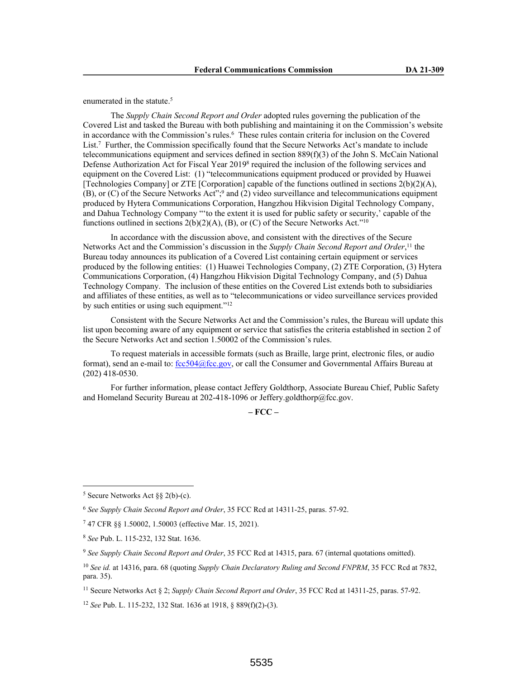enumerated in the statute.<sup>5</sup>

The *Supply Chain Second Report and Order* adopted rules governing the publication of the Covered List and tasked the Bureau with both publishing and maintaining it on the Commission's website in accordance with the Commission's rules.<sup>6</sup> These rules contain criteria for inclusion on the Covered List.<sup>7</sup> Further, the Commission specifically found that the Secure Networks Act's mandate to include telecommunications equipment and services defined in section 889(f)(3) of the John S. McCain National Defense Authorization Act for Fiscal Year 2019<sup>8</sup> required the inclusion of the following services and equipment on the Covered List: (1) "telecommunications equipment produced or provided by Huawei [Technologies Company] or ZTE [Corporation] capable of the functions outlined in sections 2(b)(2)(A), (B), or (C) of the Secure Networks Act";<sup>9</sup> and (2) video surveillance and telecommunications equipment produced by Hytera Communications Corporation, Hangzhou Hikvision Digital Technology Company, and Dahua Technology Company "'to the extent it is used for public safety or security,' capable of the functions outlined in sections  $2(b)(2)(A)$ ,  $(B)$ , or  $(C)$  of the Secure Networks Act."<sup>10</sup>

In accordance with the discussion above, and consistent with the directives of the Secure Networks Act and the Commission's discussion in the *Supply Chain Second Report and Order*, <sup>11</sup> the Bureau today announces its publication of a Covered List containing certain equipment or services produced by the following entities: (1) Huawei Technologies Company, (2) ZTE Corporation, (3) Hytera Communications Corporation, (4) Hangzhou Hikvision Digital Technology Company, and (5) Dahua Technology Company. The inclusion of these entities on the Covered List extends both to subsidiaries and affiliates of these entities, as well as to "telecommunications or video surveillance services provided by such entities or using such equipment."<sup>12</sup>

Consistent with the Secure Networks Act and the Commission's rules, the Bureau will update this list upon becoming aware of any equipment or service that satisfies the criteria established in section 2 of the Secure Networks Act and section 1.50002 of the Commission's rules.

To request materials in accessible formats (such as Braille, large print, electronic files, or audio format), send an e-mail to:  $\frac{fcc504@fcc.gov}{c}$ , or call the Consumer and Governmental Affairs Bureau at (202) 418-0530.

For further information, please contact Jeffery Goldthorp, Associate Bureau Chief, Public Safety and Homeland Security Bureau at 202-418-1096 or Jeffery.goldthorp@fcc.gov.

**– FCC –**

<sup>11</sup> Secure Networks Act § 2; *Supply Chain Second Report and Order*, 35 FCC Rcd at 14311-25, paras. 57-92.

<sup>12</sup> *See* Pub. L. 115-232, 132 Stat. 1636 at 1918, § 889(f)(2)-(3).

<sup>&</sup>lt;sup>5</sup> Secure Networks Act  $\S\S 2(b)-(c)$ .

<sup>6</sup> *See Supply Chain Second Report and Order*, 35 FCC Rcd at 14311-25, paras. 57-92.

<sup>7</sup> 47 CFR §§ 1.50002, 1.50003 (effective Mar. 15, 2021).

<sup>8</sup> *See* Pub. L. 115-232, 132 Stat. 1636.

<sup>9</sup> *See Supply Chain Second Report and Order*, 35 FCC Rcd at 14315, para. 67 (internal quotations omitted).

<sup>10</sup> *See id.* at 14316, para. 68 (quoting *Supply Chain Declaratory Ruling and Second FNPRM*, 35 FCC Rcd at 7832, para. 35).